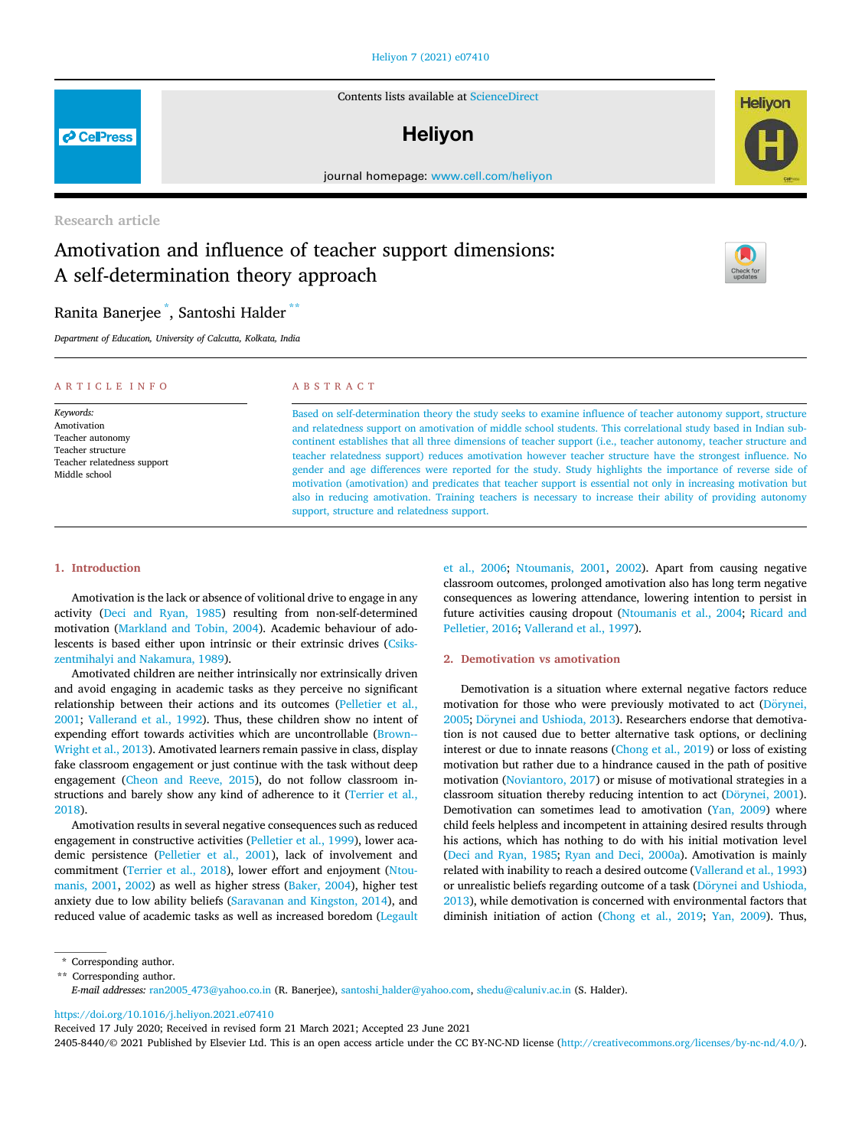#### Heliyon 7 (2021) e07410

Contents lists available at ScienceDirect

# **Helivon**

journal homepage: www.cell.com/heliyon

Research article

# Amotivation and influence of teacher support dimensions: A self-determination theory approach



*Department of Education, University of Calcutta, Kolkata, India*

#### ARTICLE INFO

*Keywords:* Amotivation Teacher autonomy Teacher structure Teacher relatedness support Middle school

# ABSTRACT

Based on self-determination theory the study seeks to examine influence of teacher autonomy support, structure and relatedness support on amotivation of middle school students. This correlational study based in Indian subcontinent establishes that all three dimensions of teacher support (i.e., teacher autonomy, teacher structure and teacher relatedness support) reduces amotivation however teacher structure have the strongest influence. No gender and age differences were reported for the study. Study highlights the importance of reverse side of motivation (amotivation) and predicates that teacher support is essential not only in increasing motivation but also in reducing amotivation. Training teachers is necessary to increase their ability of providing autonomy support, structure and relatedness support.

# 1. Introduction

Amotivation is the lack or absence of volitional drive to engage in any activity (Deci and Ryan, 1985) resulting from non-self-determined motivation (Markland and Tobin, 2004). Academic behaviour of adolescents is based either upon intrinsic or their extrinsic drives (Csikszentmihalyi and Nakamura, 1989).

Amotivated children are neither intrinsically nor extrinsically driven and avoid engaging in academic tasks as they perceive no significant relationship between their actions and its outcomes (Pelletier et al., 2001; Vallerand et al., 1992). Thus, these children show no intent of expending effort towards activities which are uncontrollable (Brown-- Wright et al., 2013). Amotivated learners remain passive in class, display fake classroom engagement or just continue with the task without deep engagement (Cheon and Reeve, 2015), do not follow classroom instructions and barely show any kind of adherence to it (Terrier et al., 2018).

Amotivation results in several negative consequences such as reduced engagement in constructive activities (Pelletier et al., 1999), lower academic persistence (Pelletier et al., 2001), lack of involvement and commitment (Terrier et al., 2018), lower effort and enjoyment (Ntoumanis, 2001, 2002) as well as higher stress (Baker, 2004), higher test anxiety due to low ability beliefs (Saravanan and Kingston, 2014), and reduced value of academic tasks as well as increased boredom (Legault et al., 2006; Ntoumanis, 2001, 2002). Apart from causing negative classroom outcomes, prolonged amotivation also has long term negative consequences as lowering attendance, lowering intention to persist in future activities causing dropout (Ntoumanis et al., 2004; Ricard and Pelletier, 2016; Vallerand et al., 1997).

#### 2. Demotivation vs amotivation

Demotivation is a situation where external negative factors reduce motivation for those who were previously motivated to act (Dörynei, 2005; Dörynei and Ushioda, 2013). Researchers endorse that demotivation is not caused due to better alternative task options, or declining interest or due to innate reasons (Chong et al., 2019) or loss of existing motivation but rather due to a hindrance caused in the path of positive motivation (Noviantoro, 2017) or misuse of motivational strategies in a classroom situation thereby reducing intention to act (Dörynei, 2001). Demotivation can sometimes lead to amotivation (Yan, 2009) where child feels helpless and incompetent in attaining desired results through his actions, which has nothing to do with his initial motivation level (Deci and Ryan, 1985; Ryan and Deci, 2000a). Amotivation is mainly related with inability to reach a desired outcome (Vallerand et al., 1993) or unrealistic beliefs regarding outcome of a task (Dörynei and Ushioda, 2013), while demotivation is concerned with environmental factors that diminish initiation of action (Chong et al., 2019; Yan, 2009). Thus,

https://doi.org/10.1016/j.heliyon.2021.e07410

Received 17 July 2020; Received in revised form 21 March 2021; Accepted 23 June 2021





**P** CellPress

<sup>\*</sup> Corresponding author.

<sup>\*\*</sup> Corresponding author.

*E-mail addresses:* ran2005\_473@yahoo.co.in (R. Banerjee), santoshi\_halder@yahoo.com, shedu@caluniv.ac.in (S. Halder).

<sup>2405-8440/</sup>© 2021 Published by Elsevier Ltd. This is an open access article under the CC BY-NC-ND license (http://creativecommons.org/licenses/by-nc-nd/4.0/).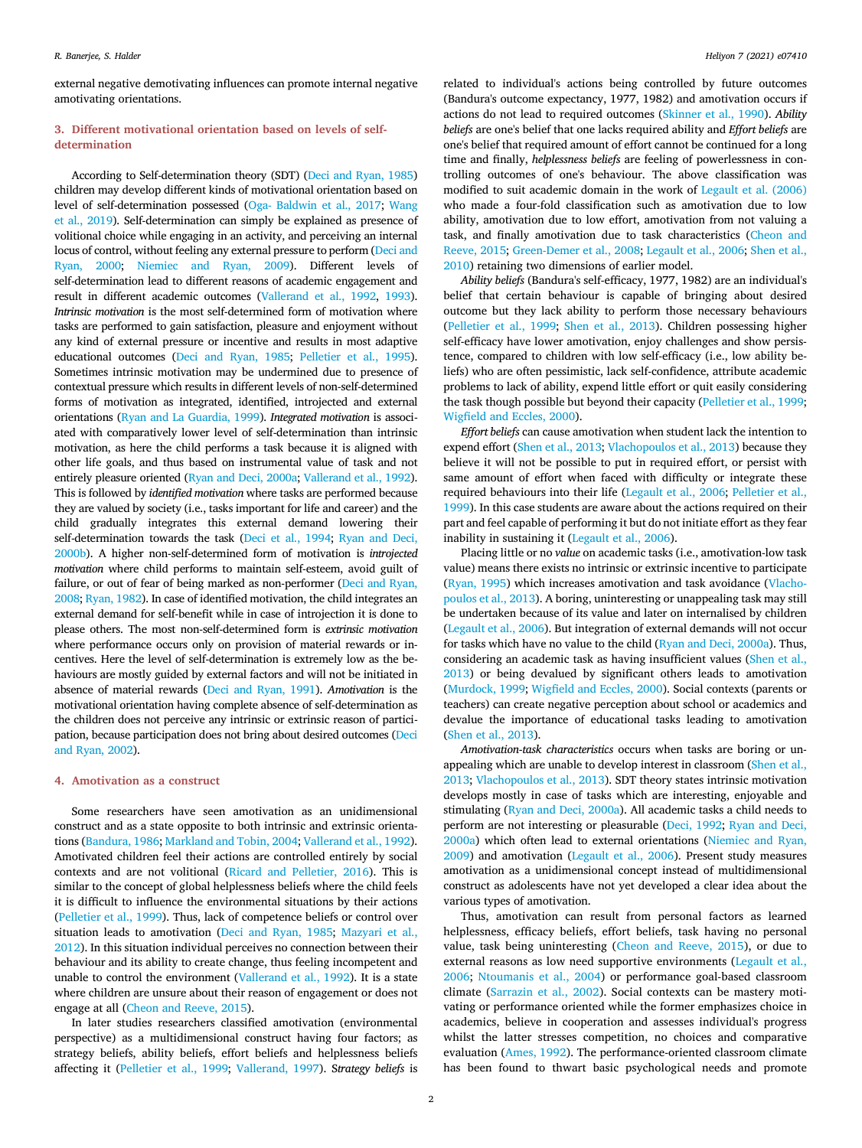external negative demotivating influences can promote internal negative amotivating orientations.

# 3. Different motivational orientation based on levels of selfdetermination

According to Self-determination theory (SDT) (Deci and Ryan, 1985) children may develop different kinds of motivational orientation based on level of self-determination possessed (Oga- Baldwin et al., 2017; Wang et al., 2019). Self-determination can simply be explained as presence of volitional choice while engaging in an activity, and perceiving an internal locus of control, without feeling any external pressure to perform (Deci and Ryan, 2000; Niemiec and Ryan, 2009). Different levels of self-determination lead to different reasons of academic engagement and result in different academic outcomes (Vallerand et al., 1992, 1993). *Intrinsic motivation* is the most self-determined form of motivation where tasks are performed to gain satisfaction, pleasure and enjoyment without any kind of external pressure or incentive and results in most adaptive educational outcomes (Deci and Ryan, 1985; Pelletier et al., 1995). Sometimes intrinsic motivation may be undermined due to presence of contextual pressure which results in different levels of non-self-determined forms of motivation as integrated, identified, introjected and external orientations (Ryan and La Guardia, 1999). *Integrated motivation* is associated with comparatively lower level of self-determination than intrinsic motivation, as here the child performs a task because it is aligned with other life goals, and thus based on instrumental value of task and not entirely pleasure oriented (Ryan and Deci, 2000a; Vallerand et al., 1992). This is followed by *identi*fi*ed motivation* where tasks are performed because they are valued by society (i.e., tasks important for life and career) and the child gradually integrates this external demand lowering their self-determination towards the task (Deci et al., 1994; Ryan and Deci, 2000b). A higher non-self-determined form of motivation is *introjected motivation* where child performs to maintain self-esteem, avoid guilt of failure, or out of fear of being marked as non-performer (Deci and Ryan, 2008; Ryan, 1982). In case of identified motivation, the child integrates an external demand for self-benefit while in case of introjection it is done to please others. The most non-self-determined form is *extrinsic motivation* where performance occurs only on provision of material rewards or incentives. Here the level of self-determination is extremely low as the behaviours are mostly guided by external factors and will not be initiated in absence of material rewards (Deci and Ryan, 1991). *Amotivation* is the motivational orientation having complete absence of self-determination as the children does not perceive any intrinsic or extrinsic reason of participation, because participation does not bring about desired outcomes (Deci and Ryan, 2002).

# 4. Amotivation as a construct

Some researchers have seen amotivation as an unidimensional construct and as a state opposite to both intrinsic and extrinsic orientations (Bandura, 1986; Markland and Tobin, 2004; Vallerand et al., 1992). Amotivated children feel their actions are controlled entirely by social contexts and are not volitional (Ricard and Pelletier, 2016). This is similar to the concept of global helplessness beliefs where the child feels it is difficult to influence the environmental situations by their actions (Pelletier et al., 1999). Thus, lack of competence beliefs or control over situation leads to amotivation (Deci and Ryan, 1985; Mazyari et al., 2012). In this situation individual perceives no connection between their behaviour and its ability to create change, thus feeling incompetent and unable to control the environment (Vallerand et al., 1992). It is a state where children are unsure about their reason of engagement or does not engage at all (Cheon and Reeve, 2015).

In later studies researchers classified amotivation (environmental perspective) as a multidimensional construct having four factors; as strategy beliefs, ability beliefs, effort beliefs and helplessness beliefs affecting it (Pelletier et al., 1999; Vallerand, 1997). S*trategy beliefs* is related to individual's actions being controlled by future outcomes (Bandura's outcome expectancy, 1977, 1982) and amotivation occurs if actions do not lead to required outcomes (Skinner et al., 1990). *Ability beliefs* are one's belief that one lacks required ability and *Effort beliefs* are one's belief that required amount of effort cannot be continued for a long time and finally, *helplessness beliefs* are feeling of powerlessness in controlling outcomes of one's behaviour. The above classification was modified to suit academic domain in the work of Legault et al. (2006) who made a four-fold classification such as amotivation due to low ability, amotivation due to low effort, amotivation from not valuing a task, and finally amotivation due to task characteristics (Cheon and Reeve, 2015; Green-Demer et al., 2008; Legault et al., 2006; Shen et al., 2010) retaining two dimensions of earlier model.

*Ability beliefs* (Bandura's self-efficacy, 1977, 1982) are an individual's belief that certain behaviour is capable of bringing about desired outcome but they lack ability to perform those necessary behaviours (Pelletier et al., 1999; Shen et al., 2013). Children possessing higher self-efficacy have lower amotivation, enjoy challenges and show persistence, compared to children with low self-efficacy (i.e., low ability beliefs) who are often pessimistic, lack self-confidence, attribute academic problems to lack of ability, expend little effort or quit easily considering the task though possible but beyond their capacity (Pelletier et al., 1999; Wigfield and Eccles, 2000).

*Effort beliefs* can cause amotivation when student lack the intention to expend effort (Shen et al., 2013; Vlachopoulos et al., 2013) because they believe it will not be possible to put in required effort, or persist with same amount of effort when faced with difficulty or integrate these required behaviours into their life (Legault et al., 2006; Pelletier et al., 1999). In this case students are aware about the actions required on their part and feel capable of performing it but do not initiate effort as they fear inability in sustaining it (Legault et al., 2006).

Placing little or no *value* on academic tasks (i.e., amotivation-low task value) means there exists no intrinsic or extrinsic incentive to participate (Ryan, 1995) which increases amotivation and task avoidance (Vlachopoulos et al., 2013). A boring, uninteresting or unappealing task may still be undertaken because of its value and later on internalised by children (Legault et al., 2006). But integration of external demands will not occur for tasks which have no value to the child (Ryan and Deci, 2000a). Thus, considering an academic task as having insufficient values (Shen et al., 2013) or being devalued by significant others leads to amotivation (Murdock, 1999; Wigfield and Eccles, 2000). Social contexts (parents or teachers) can create negative perception about school or academics and devalue the importance of educational tasks leading to amotivation (Shen et al., 2013).

*Amotivation*-*task characteristics* occurs when tasks are boring or unappealing which are unable to develop interest in classroom (Shen et al., 2013; Vlachopoulos et al., 2013). SDT theory states intrinsic motivation develops mostly in case of tasks which are interesting, enjoyable and stimulating (Ryan and Deci, 2000a). All academic tasks a child needs to perform are not interesting or pleasurable (Deci, 1992; Ryan and Deci, 2000a) which often lead to external orientations (Niemiec and Ryan, 2009) and amotivation (Legault et al., 2006). Present study measures amotivation as a unidimensional concept instead of multidimensional construct as adolescents have not yet developed a clear idea about the various types of amotivation.

Thus, amotivation can result from personal factors as learned helplessness, efficacy beliefs, effort beliefs, task having no personal value, task being uninteresting (Cheon and Reeve, 2015), or due to external reasons as low need supportive environments (Legault et al., 2006; Ntoumanis et al., 2004) or performance goal-based classroom climate (Sarrazin et al., 2002). Social contexts can be mastery motivating or performance oriented while the former emphasizes choice in academics, believe in cooperation and assesses individual's progress whilst the latter stresses competition, no choices and comparative evaluation (Ames, 1992). The performance-oriented classroom climate has been found to thwart basic psychological needs and promote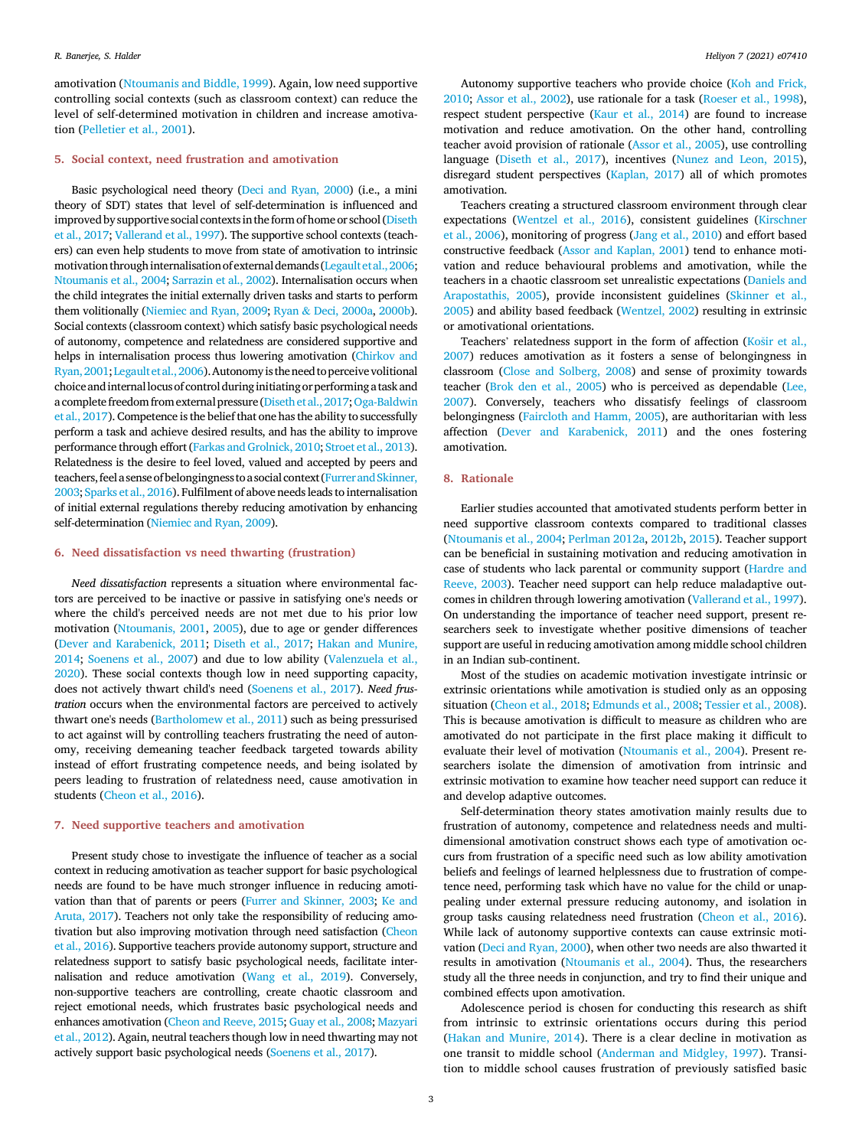amotivation (Ntoumanis and Biddle, 1999). Again, low need supportive controlling social contexts (such as classroom context) can reduce the level of self-determined motivation in children and increase amotivation (Pelletier et al., 2001).

#### 5. Social context, need frustration and amotivation

Basic psychological need theory (Deci and Ryan, 2000) (i.e., a mini theory of SDT) states that level of self-determination is influenced and improved by supportive social contexts in the form of home or school (Diseth et al., 2017; Vallerand et al., 1997). The supportive school contexts (teachers) can even help students to move from state of amotivation to intrinsic motivation through internalisation ofexternal demands (Legaultet al., 2006; Ntoumanis et al., 2004; Sarrazin et al., 2002). Internalisation occurs when the child integrates the initial externally driven tasks and starts to perform them volitionally (Niemiec and Ryan, 2009; Ryan & Deci, 2000a, 2000b). Social contexts (classroom context) which satisfy basic psychological needs of autonomy, competence and relatedness are considered supportive and helps in internalisation process thus lowering amotivation (Chirkov and Ryan, 2001;Legaultet al.,2006).Autonomy is the need toperceive volitional choice and internallocus of control during initiating or performing a task and a complete freedom from external pressure (Diseth et al., 2017;Oga-Baldwin et al., 2017). Competence is the belief that one has the ability to successfully perform a task and achieve desired results, and has the ability to improve performance through effort (Farkas and Grolnick, 2010; Stroet et al., 2013). Relatedness is the desire to feel loved, valued and accepted by peers and teachers, feel a sense of belongingness to a social context (Furrer and Skinner, 2003; Sparks et al., 2016). Fulfilment of above needs leads to internalisation of initial external regulations thereby reducing amotivation by enhancing self-determination (Niemiec and Ryan, 2009).

### 6. Need dissatisfaction vs need thwarting (frustration)

*Need dissatisfaction* represents a situation where environmental factors are perceived to be inactive or passive in satisfying one's needs or where the child's perceived needs are not met due to his prior low motivation (Ntoumanis, 2001, 2005), due to age or gender differences (Dever and Karabenick, 2011; Diseth et al., 2017; Hakan and Munire, 2014; Soenens et al., 2007) and due to low ability (Valenzuela et al., 2020). These social contexts though low in need supporting capacity, does not actively thwart child's need (Soenens et al., 2017). *Need frustration* occurs when the environmental factors are perceived to actively thwart one's needs (Bartholomew et al., 2011) such as being pressurised to act against will by controlling teachers frustrating the need of autonomy, receiving demeaning teacher feedback targeted towards ability instead of effort frustrating competence needs, and being isolated by peers leading to frustration of relatedness need, cause amotivation in students (Cheon et al., 2016).

#### 7. Need supportive teachers and amotivation

Present study chose to investigate the influence of teacher as a social context in reducing amotivation as teacher support for basic psychological needs are found to be have much stronger influence in reducing amotivation than that of parents or peers (Furrer and Skinner, 2003; Ke and Aruta, 2017). Teachers not only take the responsibility of reducing amotivation but also improving motivation through need satisfaction (Cheon et al., 2016). Supportive teachers provide autonomy support, structure and relatedness support to satisfy basic psychological needs, facilitate internalisation and reduce amotivation (Wang et al., 2019). Conversely, non-supportive teachers are controlling, create chaotic classroom and reject emotional needs, which frustrates basic psychological needs and enhances amotivation (Cheon and Reeve, 2015; Guay et al., 2008; Mazyari et al., 2012). Again, neutral teachers though low in need thwarting may not actively support basic psychological needs (Soenens et al., 2017).

Autonomy supportive teachers who provide choice (Koh and Frick, 2010; Assor et al., 2002), use rationale for a task (Roeser et al., 1998), respect student perspective (Kaur et al., 2014) are found to increase motivation and reduce amotivation. On the other hand, controlling teacher avoid provision of rationale (Assor et al., 2005), use controlling language (Diseth et al., 2017), incentives (Nunez and Leon, 2015), disregard student perspectives (Kaplan, 2017) all of which promotes amotivation.

Teachers creating a structured classroom environment through clear expectations (Wentzel et al., 2016), consistent guidelines (Kirschner et al., 2006), monitoring of progress (Jang et al., 2010) and effort based constructive feedback (Assor and Kaplan, 2001) tend to enhance motivation and reduce behavioural problems and amotivation, while the teachers in a chaotic classroom set unrealistic expectations (Daniels and Arapostathis, 2005), provide inconsistent guidelines (Skinner et al., 2005) and ability based feedback (Wentzel, 2002) resulting in extrinsic or amotivational orientations.

Teachers' relatedness support in the form of affection (Košir et al., 2007) reduces amotivation as it fosters a sense of belongingness in classroom (Close and Solberg, 2008) and sense of proximity towards teacher (Brok den et al., 2005) who is perceived as dependable (Lee, 2007). Conversely, teachers who dissatisfy feelings of classroom belongingness (Faircloth and Hamm, 2005), are authoritarian with less affection (Dever and Karabenick, 2011) and the ones fostering amotivation.

#### 8. Rationale

Earlier studies accounted that amotivated students perform better in need supportive classroom contexts compared to traditional classes (Ntoumanis et al., 2004; Perlman 2012a, 2012b, 2015). Teacher support can be beneficial in sustaining motivation and reducing amotivation in case of students who lack parental or community support (Hardre and Reeve, 2003). Teacher need support can help reduce maladaptive outcomes in children through lowering amotivation (Vallerand et al., 1997). On understanding the importance of teacher need support, present researchers seek to investigate whether positive dimensions of teacher support are useful in reducing amotivation among middle school children in an Indian sub-continent.

Most of the studies on academic motivation investigate intrinsic or extrinsic orientations while amotivation is studied only as an opposing situation (Cheon et al., 2018; Edmunds et al., 2008; Tessier et al., 2008). This is because amotivation is difficult to measure as children who are amotivated do not participate in the first place making it difficult to evaluate their level of motivation (Ntoumanis et al., 2004). Present researchers isolate the dimension of amotivation from intrinsic and extrinsic motivation to examine how teacher need support can reduce it and develop adaptive outcomes.

Self-determination theory states amotivation mainly results due to frustration of autonomy, competence and relatedness needs and multidimensional amotivation construct shows each type of amotivation occurs from frustration of a specific need such as low ability amotivation beliefs and feelings of learned helplessness due to frustration of competence need, performing task which have no value for the child or unappealing under external pressure reducing autonomy, and isolation in group tasks causing relatedness need frustration (Cheon et al., 2016). While lack of autonomy supportive contexts can cause extrinsic motivation (Deci and Ryan, 2000), when other two needs are also thwarted it results in amotivation (Ntoumanis et al., 2004). Thus, the researchers study all the three needs in conjunction, and try to find their unique and combined effects upon amotivation.

Adolescence period is chosen for conducting this research as shift from intrinsic to extrinsic orientations occurs during this period (Hakan and Munire, 2014). There is a clear decline in motivation as one transit to middle school (Anderman and Midgley, 1997). Transition to middle school causes frustration of previously satisfied basic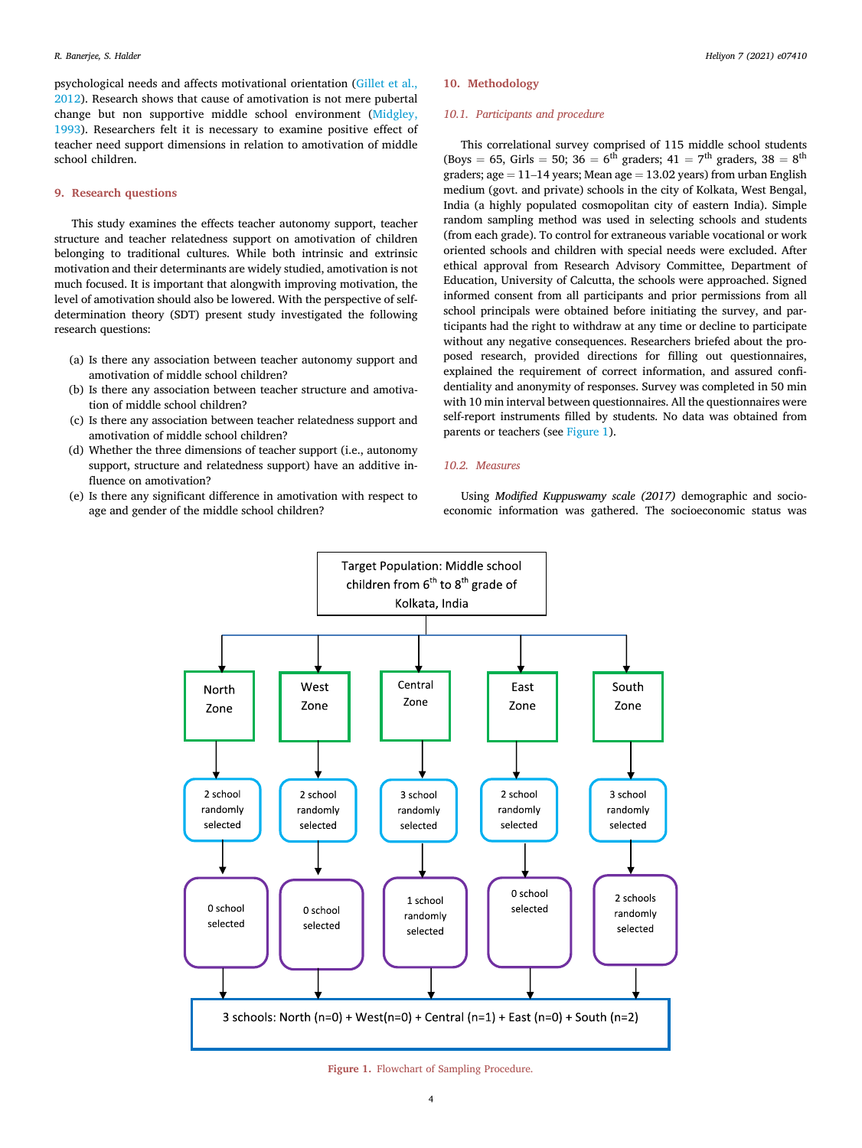psychological needs and affects motivational orientation (Gillet et al., 2012). Research shows that cause of amotivation is not mere pubertal change but non supportive middle school environment (Midgley, 1993). Researchers felt it is necessary to examine positive effect of teacher need support dimensions in relation to amotivation of middle school children.

#### 9. Research questions

This study examines the effects teacher autonomy support, teacher structure and teacher relatedness support on amotivation of children belonging to traditional cultures. While both intrinsic and extrinsic motivation and their determinants are widely studied, amotivation is not much focused. It is important that alongwith improving motivation, the level of amotivation should also be lowered. With the perspective of selfdetermination theory (SDT) present study investigated the following research questions:

- (a) Is there any association between teacher autonomy support and amotivation of middle school children?
- (b) Is there any association between teacher structure and amotivation of middle school children?
- (c) Is there any association between teacher relatedness support and amotivation of middle school children?
- (d) Whether the three dimensions of teacher support (i.e., autonomy support, structure and relatedness support) have an additive influence on amotivation?
- (e) Is there any significant difference in amotivation with respect to age and gender of the middle school children?

# 10. Methodology

#### *10.1. Participants and procedure*

This correlational survey comprised of 115 middle school students (Boys = 65, Girls = 50; 36 =  $6^{\text{th}}$  graders; 41 =  $7^{\text{th}}$  graders, 38 =  $8^{\text{th}}$ graders; age  $= 11-14$  years; Mean age  $= 13.02$  years) from urban English medium (govt. and private) schools in the city of Kolkata, West Bengal, India (a highly populated cosmopolitan city of eastern India). Simple random sampling method was used in selecting schools and students (from each grade). To control for extraneous variable vocational or work oriented schools and children with special needs were excluded. After ethical approval from Research Advisory Committee, Department of Education, University of Calcutta, the schools were approached. Signed informed consent from all participants and prior permissions from all school principals were obtained before initiating the survey, and participants had the right to withdraw at any time or decline to participate without any negative consequences. Researchers briefed about the proposed research, provided directions for filling out questionnaires, explained the requirement of correct information, and assured confidentiality and anonymity of responses. Survey was completed in 50 min with 10 min interval between questionnaires. All the questionnaires were self-report instruments filled by students. No data was obtained from parents or teachers (see Figure 1).

# *10.2. Measures*

Using *Modi*fi*ed Kuppuswamy scale (2017)* demographic and socioeconomic information was gathered. The socioeconomic status was



Figure 1. Flowchart of Sampling Procedure.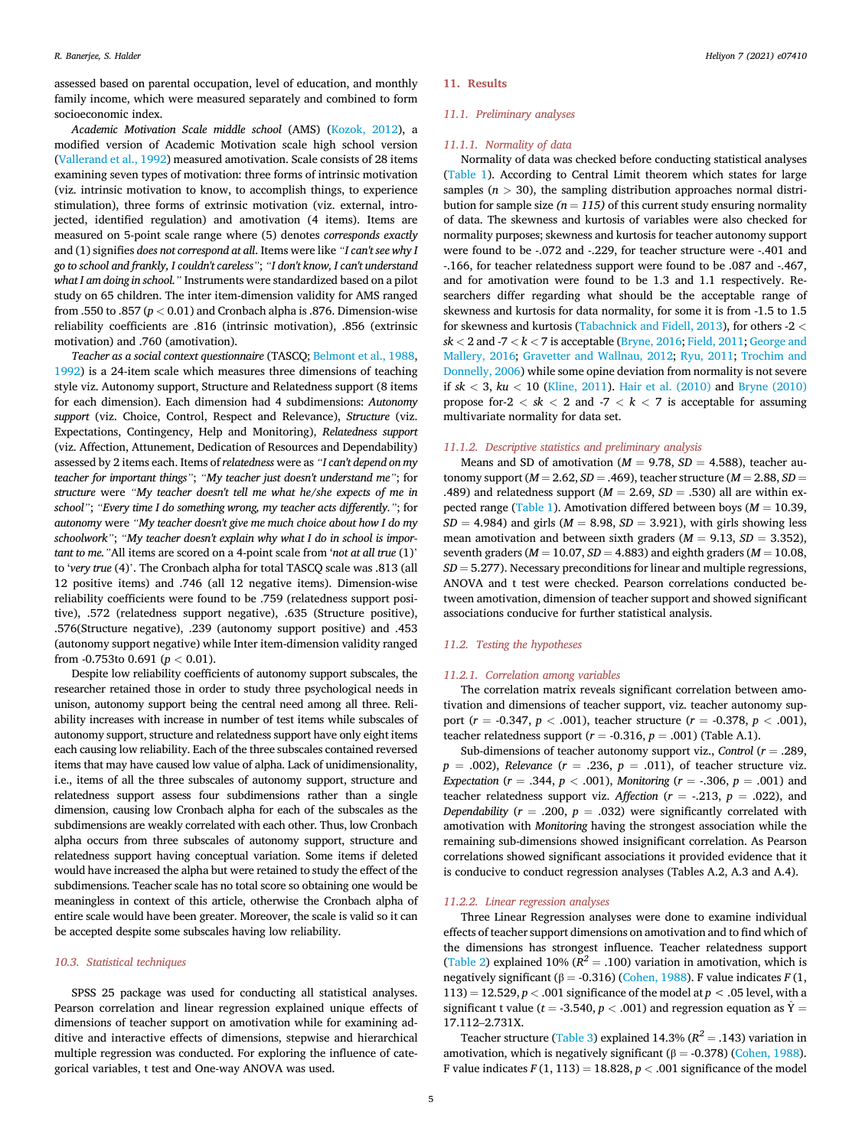assessed based on parental occupation, level of education, and monthly family income, which were measured separately and combined to form socioeconomic index.

*Academic Motivation Scale middle school* (AMS) (Kozok, 2012), a modified version of Academic Motivation scale high school version (Vallerand et al., 1992) measured amotivation. Scale consists of 28 items examining seven types of motivation: three forms of intrinsic motivation (viz. intrinsic motivation to know, to accomplish things, to experience stimulation), three forms of extrinsic motivation (viz. external, introjected, identified regulation) and amotivation (4 items). Items are measured on 5-point scale range where (5) denotes *corresponds exactly* and (1) signifies *does not correspond at all*. Items were like "*I can't see why I go to school and frankly, I couldn't careless*"; "*I don't know, I can't understand what I am doing in school.*" Instruments were standardized based on a pilot study on 65 children. The inter item-dimension validity for AMS ranged from .550 to .857  $(p<0.01)$  and Cronbach alpha is .876. Dimension-wise reliability coefficients are .816 (intrinsic motivation), .856 (extrinsic motivation) and .760 (amotivation).

*Teacher as a social context questionnaire* (TASCQ; Belmont et al., 1988, 1992) is a 24-item scale which measures three dimensions of teaching style viz. Autonomy support, Structure and Relatedness support (8 items for each dimension). Each dimension had 4 subdimensions: *Autonomy support* (viz. Choice, Control, Respect and Relevance), *Structure* (viz. Expectations, Contingency, Help and Monitoring), *Relatedness support* (viz. Affection, Attunement, Dedication of Resources and Dependability) assessed by 2 items each. Items of *relatedness* were as "*I can't depend on my teacher for important things*"; "*My teacher just doesn't understand me*"; for *structure* were "*My teacher doesn't tell me what he/she expects of me in school*"; "*Every time I do something wrong, my teacher acts differently.*"; for *autonomy* were "*My teacher doesn't give me much choice about how I do my schoolwork*"; "*My teacher doesn't explain why what I do in school is important to me.*"All items are scored on a 4-point scale from '*not at all true* (1)' to '*very true* (4)'. The Cronbach alpha for total TASCQ scale was .813 (all 12 positive items) and .746 (all 12 negative items). Dimension-wise reliability coefficients were found to be .759 (relatedness support positive), .572 (relatedness support negative), .635 (Structure positive), .576(Structure negative), .239 (autonomy support positive) and .453 (autonomy support negative) while Inter item-dimension validity ranged from -0.753to 0.691 (*p* < 0.01).

Despite low reliability coefficients of autonomy support subscales, the researcher retained those in order to study three psychological needs in unison, autonomy support being the central need among all three. Reliability increases with increase in number of test items while subscales of autonomy support, structure and relatedness support have only eight items each causing low reliability. Each of the three subscales contained reversed items that may have caused low value of alpha. Lack of unidimensionality, i.e., items of all the three subscales of autonomy support, structure and relatedness support assess four subdimensions rather than a single dimension, causing low Cronbach alpha for each of the subscales as the subdimensions are weakly correlated with each other. Thus, low Cronbach alpha occurs from three subscales of autonomy support, structure and relatedness support having conceptual variation. Some items if deleted would have increased the alpha but were retained to study the effect of the subdimensions. Teacher scale has no total score so obtaining one would be meaningless in context of this article, otherwise the Cronbach alpha of entire scale would have been greater. Moreover, the scale is valid so it can be accepted despite some subscales having low reliability.

#### *10.3. Statistical techniques*

SPSS 25 package was used for conducting all statistical analyses. Pearson correlation and linear regression explained unique effects of dimensions of teacher support on amotivation while for examining additive and interactive effects of dimensions, stepwise and hierarchical multiple regression was conducted. For exploring the influence of categorical variables, t test and One-way ANOVA was used.

#### 11. Results

#### *11.1. Preliminary analyses*

#### *11.1.1. Normality of data*

Normality of data was checked before conducting statistical analyses (Table 1). According to Central Limit theorem which states for large samples  $(n > 30)$ , the sampling distribution approaches normal distribution for sample size  $(n = 115)$  of this current study ensuring normality of data. The skewness and kurtosis of variables were also checked for normality purposes; skewness and kurtosis for teacher autonomy support were found to be -.072 and -.229, for teacher structure were -.401 and -.166, for teacher relatedness support were found to be .087 and -.467, and for amotivation were found to be 1.3 and 1.1 respectively. Researchers differ regarding what should be the acceptable range of skewness and kurtosis for data normality, for some it is from -1.5 to 1.5 for skewness and kurtosis (Tabachnick and Fidell, 2013), for others -2 <  $sk < 2$  and  $-7 < k < 7$  is acceptable (Bryne, 2016; Field, 2011; George and Mallery, 2016; Gravetter and Wallnau, 2012; Ryu, 2011; Trochim and Donnelly, 2006) while some opine deviation from normality is not severe if *sk* < 3, *ku* < 10 (Kline, 2011). Hair et al. (2010) and Bryne (2010) propose for- $2 < sk < 2$  and  $-7 < k < 7$  is acceptable for assuming multivariate normality for data set.

#### *11.1.2. Descriptive statistics and preliminary analysis*

Means and SD of amotivation ( $M = 9.78$ ,  $SD = 4.588$ ), teacher autonomy support ( $M = 2.62$ ,  $SD = .469$ ), teacher structure ( $M = 2.88$ ,  $SD =$ .489) and relatedness support ( $M = 2.69$ ,  $SD = .530$ ) all are within expected range (Table 1). Amotivation differed between boys  $(M = 10.39$ ,  $SD = 4.984$ ) and girls ( $M = 8.98$ ,  $SD = 3.921$ ), with girls showing less mean amotivation and between sixth graders  $(M = 9.13, SD = 3.352)$ , seventh graders ( $M = 10.07$ ,  $SD = 4.883$ ) and eighth graders ( $M = 10.08$ ,  $SD = 5.277$ . Necessary preconditions for linear and multiple regressions, ANOVA and t test were checked. Pearson correlations conducted between amotivation, dimension of teacher support and showed significant associations conducive for further statistical analysis.

## *11.2. Testing the hypotheses*

#### *11.2.1. Correlation among variables*

The correlation matrix reveals significant correlation between amotivation and dimensions of teacher support, viz. teacher autonomy support ( $r = -0.347$ ,  $p < .001$ ), teacher structure ( $r = -0.378$ ,  $p < .001$ ), teacher relatedness support  $(r = -0.316, p = .001)$  (Table A.1).

Sub-dimensions of teacher autonomy support viz., *Control* ( $r = .289$ ,  $p = .002$ ), *Relevance* ( $r = .236$ ,  $p = .011$ ), of teacher structure viz. *Expectation* ( $r = .344$ ,  $p < .001$ ), *Monitoring* ( $r = -.306$ ,  $p = .001$ ) and teacher relatedness support viz. Affection ( $r = -.213$ ,  $p = .022$ ), and *Dependability* ( $r = .200$ ,  $p = .032$ ) were significantly correlated with amotivation with *Monitoring* having the strongest association while the remaining sub-dimensions showed insignificant correlation. As Pearson correlations showed significant associations it provided evidence that it is conducive to conduct regression analyses (Tables A.2, A.3 and A.4).

#### *11.2.2. Linear regression analyses*

Three Linear Regression analyses were done to examine individual effects of teacher support dimensions on amotivation and to find which of the dimensions has strongest influence. Teacher relatedness support (Table 2) explained 10% ( $R^2 = .100$ ) variation in amotivation, which is negatively significant ( $β = -0.316$ ) (Cohen, 1988). F value indicates *F* (1, 113) = 12.529,  $p < .001$  significance of the model at  $p < .05$  level, with a significant t value ( $t = -3.540$ ,  $p < .001$ ) and regression equation as  $\hat{Y} =$ 17.112–2.731X.

Teacher structure (Table 3) explained  $14.3\%$  ( $R^2 = .143$ ) variation in amotivation, which is negatively significant ( $\beta$  = -0.378) (Cohen, 1988). F value indicates  $F(1, 113) = 18.828$ ,  $p < .001$  significance of the model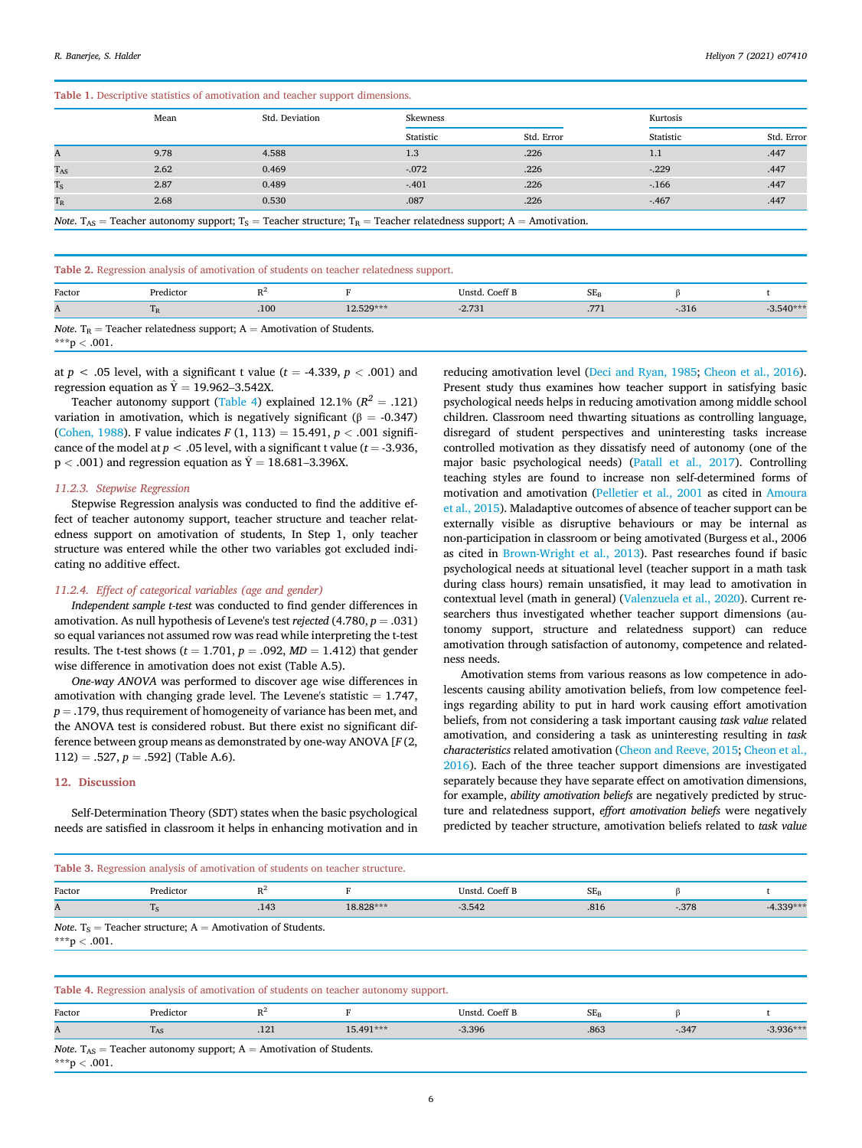|          | Mean | Std. Deviation                                                                                                                                              | Skewness  |            |           | Kurtosis   |  |  |
|----------|------|-------------------------------------------------------------------------------------------------------------------------------------------------------------|-----------|------------|-----------|------------|--|--|
|          |      |                                                                                                                                                             | Statistic | Std. Error | Statistic | Std. Error |  |  |
| A        | 9.78 | 4.588                                                                                                                                                       | 1.3       | .226       | 1.1       | .447       |  |  |
| $T_{AS}$ | 2.62 | 0.469                                                                                                                                                       | $-.072$   | .226       | $-.229$   | .447       |  |  |
| $T_S$    | 2.87 | 0.489                                                                                                                                                       | $-.401$   | .226       | $-166$    | .447       |  |  |
| $T_R$    | 2.68 | 0.530                                                                                                                                                       | .087      | .226       | $-467$    | .447       |  |  |
|          |      | <i>Note.</i> T <sub>AS</sub> = Teacher autonomy support; T <sub>S</sub> = Teacher structure; T <sub>R</sub> = Teacher relatedness support; A = Amotivation. |           |            |           |            |  |  |

Table 2. Regression analysis of amotivation of students on teacher relatedness support.

| ___    |                                                                                          |     |           | __             |        |       |             |
|--------|------------------------------------------------------------------------------------------|-----|-----------|----------------|--------|-------|-------------|
| Factor | Predictor                                                                                | D2  |           | Unstd. Coeff B | $SE_F$ |       |             |
| A      |                                                                                          | 100 | 12.529*** | $-2.731$       |        | -.316 | $-3.540***$ |
|        | <i>Note</i> . T <sub>R</sub> = Teacher relatedness support; A = Amotivation of Students. |     |           |                |        |       |             |

\*\*\*p < .001.

at  $p < .05$  level, with a significant t value ( $t = -4.339$ ,  $p < .001$ ) and regression equation as  $\hat{Y} = 19.962$ –3.542X.

Teacher autonomy support (Table 4) explained  $12.1\%$   $(R^2 = .121)$ variation in amotivation, which is negatively significant ( $\beta = -0.347$ ) (Cohen, 1988). F value indicates  $F(1, 113) = 15.491, p < .001$  significance of the model at  $p < .05$  level, with a significant t value ( $t = -3.936$ ,  $p < .001$ ) and regression equation as  $\hat{Y} = 18.681-3.396X$ .

#### *11.2.3. Stepwise Regression*

Stepwise Regression analysis was conducted to find the additive effect of teacher autonomy support, teacher structure and teacher relatedness support on amotivation of students, In Step 1, only teacher structure was entered while the other two variables got excluded indicating no additive effect.

# *11.2.4. Effect of categorical variables (age and gender)*

*Independent sample t-test* was conducted to find gender differences in amotivation. As null hypothesis of Levene's test *rejected* (4.780,  $p = .031$ ) so equal variances not assumed row was read while interpreting the t-test results. The t-test shows ( $t = 1.701$ ,  $p = .092$ ,  $MD = 1.412$ ) that gender wise difference in amotivation does not exist (Table A.5).

*One-way ANOVA* was performed to discover age wise differences in amotivation with changing grade level. The Levene's statistic  $= 1.747$ ,  $p = .179$ , thus requirement of homogeneity of variance has been met, and the ANOVA test is considered robust. But there exist no significant difference between group means as demonstrated by one-way ANOVA [*F* (2,  $112$ ) = .527,  $p = .592$ ] (Table A.6).

#### 12. Discussion

Self-Determination Theory (SDT) states when the basic psychological needs are satisfied in classroom it helps in enhancing motivation and in reducing amotivation level (Deci and Ryan, 1985; Cheon et al., 2016). Present study thus examines how teacher support in satisfying basic psychological needs helps in reducing amotivation among middle school children. Classroom need thwarting situations as controlling language, disregard of student perspectives and uninteresting tasks increase controlled motivation as they dissatisfy need of autonomy (one of the major basic psychological needs) (Patall et al., 2017). Controlling teaching styles are found to increase non self-determined forms of motivation and amotivation (Pelletier et al., 2001 as cited in Amoura et al., 2015). Maladaptive outcomes of absence of teacher support can be externally visible as disruptive behaviours or may be internal as non-participation in classroom or being amotivated (Burgess et al., 2006 as cited in Brown-Wright et al., 2013). Past researches found if basic psychological needs at situational level (teacher support in a math task during class hours) remain unsatisfied, it may lead to amotivation in contextual level (math in general) (Valenzuela et al., 2020). Current researchers thus investigated whether teacher support dimensions (autonomy support, structure and relatedness support) can reduce amotivation through satisfaction of autonomy, competence and relatedness needs.

Amotivation stems from various reasons as low competence in adolescents causing ability amotivation beliefs, from low competence feelings regarding ability to put in hard work causing effort amotivation beliefs, from not considering a task important causing *task value* related amotivation, and considering a task as uninteresting resulting in *task characteristics* related amotivation (Cheon and Reeve, 2015; Cheon et al., 2016). Each of the three teacher support dimensions are investigated separately because they have separate effect on amotivation dimensions, for example, *ability amotivation beliefs* are negatively predicted by structure and relatedness support, *effort amotivation beliefs* were negatively predicted by teacher structure, amotivation beliefs related to *task value*

# Table 3. Regression analysis of amotivation of students on teacher structure.

| .            |                                                                        |       |                                                                                      |                |          |         |             |  |  |  |  |
|--------------|------------------------------------------------------------------------|-------|--------------------------------------------------------------------------------------|----------------|----------|---------|-------------|--|--|--|--|
| Factor       | Predictor                                                              | $R^2$ |                                                                                      | Unstd. Coeff B | $SE_{B}$ |         |             |  |  |  |  |
| A            | $T_S$                                                                  | .143  | 18.828***                                                                            | $-3.542$       | .816     | $-.378$ | $-4.339***$ |  |  |  |  |
| ***p < .001. | <i>Note.</i> $T_s$ = Teacher structure; $A$ = Amotivation of Students. |       |                                                                                      |                |          |         |             |  |  |  |  |
|              |                                                                        |       |                                                                                      |                |          |         |             |  |  |  |  |
|              |                                                                        |       | Table 4. Regression analysis of amotivation of students on teacher autonomy support. |                |          |         |             |  |  |  |  |

| Factor                                                                            | Predictor |        |           | Unstd. Coeff B | SE,  |        |             |  |
|-----------------------------------------------------------------------------------|-----------|--------|-----------|----------------|------|--------|-------------|--|
| A                                                                                 | $-AS$     | $-14.$ | 15.491*** | $-3.396$       | .863 | $-347$ | $-3.936***$ |  |
| <i>Note</i> . $T_{AS}$ = Teacher autonomy support; $A$ = Amotivation of Students. |           |        |           |                |      |        |             |  |

\*\*\*p  $< .001$ .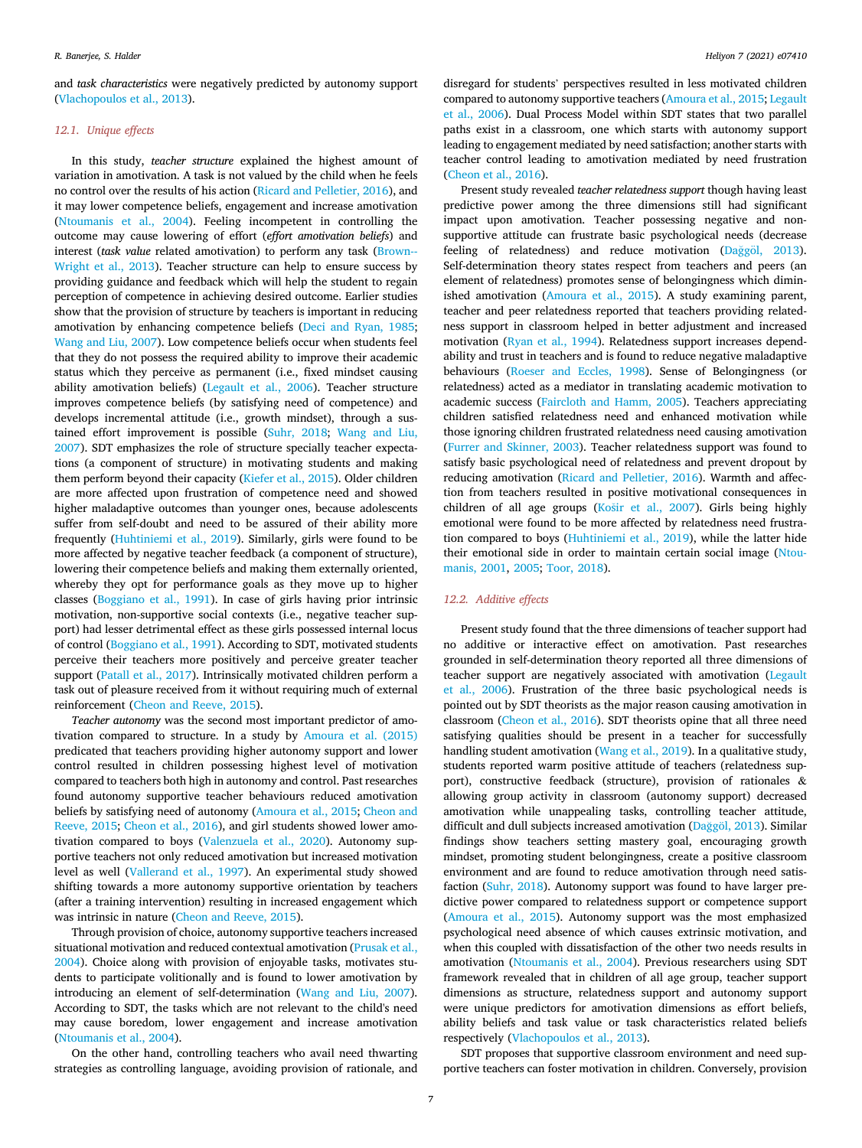and *task characteristics* were negatively predicted by autonomy support (Vlachopoulos et al., 2013).

# *12.1. Unique effects*

In this study, *teacher structure* explained the highest amount of variation in amotivation. A task is not valued by the child when he feels no control over the results of his action (Ricard and Pelletier, 2016), and it may lower competence beliefs, engagement and increase amotivation (Ntoumanis et al., 2004). Feeling incompetent in controlling the outcome may cause lowering of effort (*effort amotivation beliefs*) and interest (*task value* related amotivation) to perform any task (Brown-- Wright et al., 2013). Teacher structure can help to ensure success by providing guidance and feedback which will help the student to regain perception of competence in achieving desired outcome. Earlier studies show that the provision of structure by teachers is important in reducing amotivation by enhancing competence beliefs (Deci and Ryan, 1985; Wang and Liu, 2007). Low competence beliefs occur when students feel that they do not possess the required ability to improve their academic status which they perceive as permanent (i.e., fixed mindset causing ability amotivation beliefs) (Legault et al., 2006). Teacher structure improves competence beliefs (by satisfying need of competence) and develops incremental attitude (i.e., growth mindset), through a sustained effort improvement is possible (Suhr, 2018; Wang and Liu, 2007). SDT emphasizes the role of structure specially teacher expectations (a component of structure) in motivating students and making them perform beyond their capacity (Kiefer et al., 2015). Older children are more affected upon frustration of competence need and showed higher maladaptive outcomes than younger ones, because adolescents suffer from self-doubt and need to be assured of their ability more frequently (Huhtiniemi et al., 2019). Similarly, girls were found to be more affected by negative teacher feedback (a component of structure), lowering their competence beliefs and making them externally oriented, whereby they opt for performance goals as they move up to higher classes (Boggiano et al., 1991). In case of girls having prior intrinsic motivation, non-supportive social contexts (i.e., negative teacher support) had lesser detrimental effect as these girls possessed internal locus of control (Boggiano et al., 1991). According to SDT, motivated students perceive their teachers more positively and perceive greater teacher support (Patall et al., 2017). Intrinsically motivated children perform a task out of pleasure received from it without requiring much of external reinforcement (Cheon and Reeve, 2015).

*Teacher autonomy* was the second most important predictor of amotivation compared to structure. In a study by Amoura et al. (2015) predicated that teachers providing higher autonomy support and lower control resulted in children possessing highest level of motivation compared to teachers both high in autonomy and control. Past researches found autonomy supportive teacher behaviours reduced amotivation beliefs by satisfying need of autonomy (Amoura et al., 2015; Cheon and Reeve, 2015; Cheon et al., 2016), and girl students showed lower amotivation compared to boys (Valenzuela et al., 2020). Autonomy supportive teachers not only reduced amotivation but increased motivation level as well (Vallerand et al., 1997). An experimental study showed shifting towards a more autonomy supportive orientation by teachers (after a training intervention) resulting in increased engagement which was intrinsic in nature (Cheon and Reeve, 2015).

Through provision of choice, autonomy supportive teachers increased situational motivation and reduced contextual amotivation (Prusak et al., 2004). Choice along with provision of enjoyable tasks, motivates students to participate volitionally and is found to lower amotivation by introducing an element of self-determination (Wang and Liu, 2007). According to SDT, the tasks which are not relevant to the child's need may cause boredom, lower engagement and increase amotivation (Ntoumanis et al., 2004).

On the other hand, controlling teachers who avail need thwarting strategies as controlling language, avoiding provision of rationale, and disregard for students' perspectives resulted in less motivated children compared to autonomy supportive teachers (Amoura et al., 2015; Legault et al., 2006). Dual Process Model within SDT states that two parallel paths exist in a classroom, one which starts with autonomy support leading to engagement mediated by need satisfaction; another starts with teacher control leading to amotivation mediated by need frustration (Cheon et al., 2016).

Present study revealed *teacher relatedness support* though having least predictive power among the three dimensions still had significant impact upon amotivation. Teacher possessing negative and nonsupportive attitude can frustrate basic psychological needs (decrease feeling of relatedness) and reduce motivation (Dağgöl, 2013). Self-determination theory states respect from teachers and peers (an element of relatedness) promotes sense of belongingness which diminished amotivation (Amoura et al., 2015). A study examining parent, teacher and peer relatedness reported that teachers providing relatedness support in classroom helped in better adjustment and increased motivation (Ryan et al., 1994). Relatedness support increases dependability and trust in teachers and is found to reduce negative maladaptive behaviours (Roeser and Eccles, 1998). Sense of Belongingness (or relatedness) acted as a mediator in translating academic motivation to academic success (Faircloth and Hamm, 2005). Teachers appreciating children satisfied relatedness need and enhanced motivation while those ignoring children frustrated relatedness need causing amotivation (Furrer and Skinner, 2003). Teacher relatedness support was found to satisfy basic psychological need of relatedness and prevent dropout by reducing amotivation (Ricard and Pelletier, 2016). Warmth and affection from teachers resulted in positive motivational consequences in children of all age groups (Košir et al., 2007). Girls being highly emotional were found to be more affected by relatedness need frustration compared to boys (Huhtiniemi et al., 2019), while the latter hide their emotional side in order to maintain certain social image (Ntoumanis, 2001, 2005; Toor, 2018).

#### *12.2. Additive effects*

Present study found that the three dimensions of teacher support had no additive or interactive effect on amotivation. Past researches grounded in self-determination theory reported all three dimensions of teacher support are negatively associated with amotivation (Legault et al., 2006). Frustration of the three basic psychological needs is pointed out by SDT theorists as the major reason causing amotivation in classroom (Cheon et al., 2016). SDT theorists opine that all three need satisfying qualities should be present in a teacher for successfully handling student amotivation (Wang et al., 2019). In a qualitative study, students reported warm positive attitude of teachers (relatedness support), constructive feedback (structure), provision of rationales & allowing group activity in classroom (autonomy support) decreased amotivation while unappealing tasks, controlling teacher attitude, difficult and dull subjects increased amotivation (Dağgöl, 2013). Similar findings show teachers setting mastery goal, encouraging growth mindset, promoting student belongingness, create a positive classroom environment and are found to reduce amotivation through need satisfaction (Suhr, 2018). Autonomy support was found to have larger predictive power compared to relatedness support or competence support (Amoura et al., 2015). Autonomy support was the most emphasized psychological need absence of which causes extrinsic motivation, and when this coupled with dissatisfaction of the other two needs results in amotivation (Ntoumanis et al., 2004). Previous researchers using SDT framework revealed that in children of all age group, teacher support dimensions as structure, relatedness support and autonomy support were unique predictors for amotivation dimensions as effort beliefs, ability beliefs and task value or task characteristics related beliefs respectively (Vlachopoulos et al., 2013).

SDT proposes that supportive classroom environment and need supportive teachers can foster motivation in children. Conversely, provision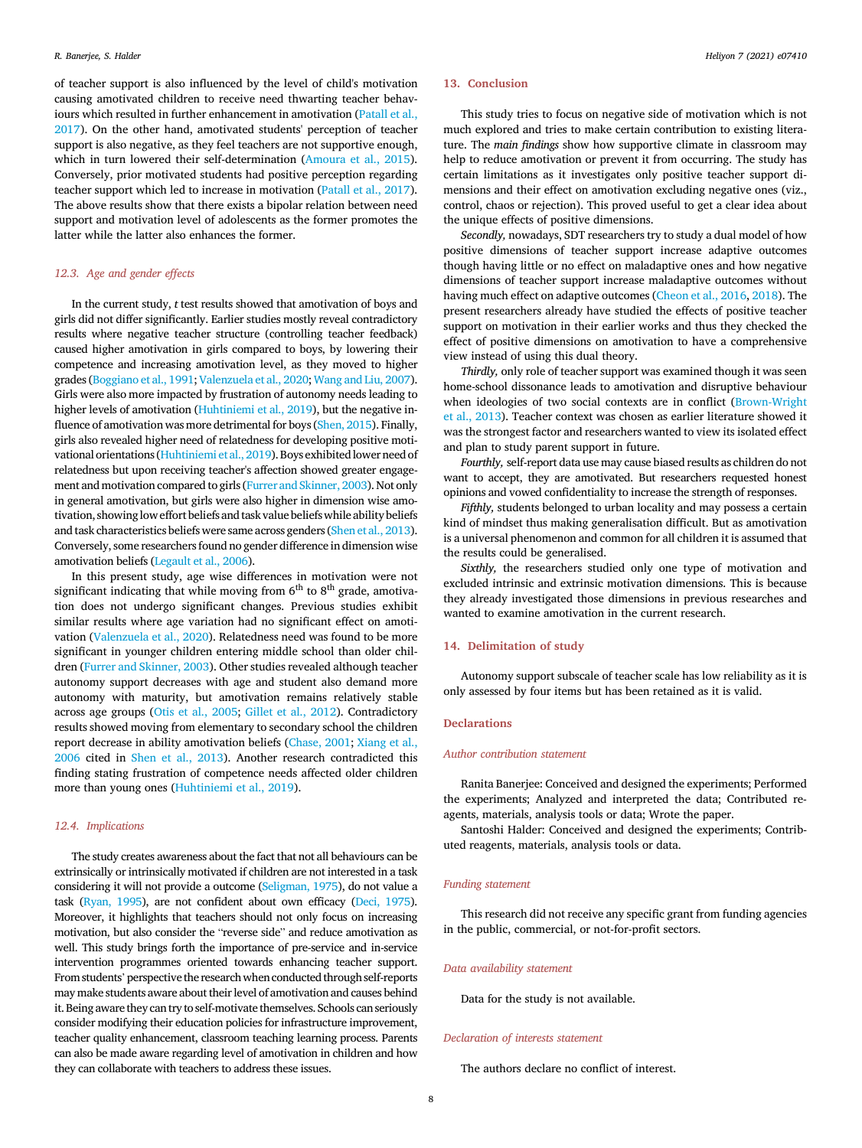of teacher support is also influenced by the level of child's motivation causing amotivated children to receive need thwarting teacher behaviours which resulted in further enhancement in amotivation (Patall et al., 2017). On the other hand, amotivated students' perception of teacher support is also negative, as they feel teachers are not supportive enough, which in turn lowered their self-determination (Amoura et al., 2015). Conversely, prior motivated students had positive perception regarding teacher support which led to increase in motivation (Patall et al., 2017). The above results show that there exists a bipolar relation between need support and motivation level of adolescents as the former promotes the latter while the latter also enhances the former.

# *12.3. Age and gender effects*

In the current study, *t* test results showed that amotivation of boys and girls did not differ significantly. Earlier studies mostly reveal contradictory results where negative teacher structure (controlling teacher feedback) caused higher amotivation in girls compared to boys, by lowering their competence and increasing amotivation level, as they moved to higher grades (Boggiano et al., 1991; Valenzuela et al., 2020; Wang and Liu, 2007). Girls were also more impacted by frustration of autonomy needs leading to higher levels of amotivation (Huhtiniemi et al., 2019), but the negative influence of amotivation was more detrimental for boys (Shen, 2015). Finally, girls also revealed higher need of relatedness for developing positive motivational orientations (Huhtiniemi et al., 2019). Boys exhibited lower need of relatedness but upon receiving teacher's affection showed greater engagement and motivation compared to girls (Furrer and Skinner, 2003). Not only in general amotivation, but girls were also higher in dimension wise amotivation, showinglow effort beliefs and task value beliefs while ability beliefs and task characteristics beliefs were same across genders (Shen et al., 2013). Conversely, some researchers found no gender difference in dimension wise amotivation beliefs (Legault et al., 2006).

In this present study, age wise differences in motivation were not significant indicating that while moving from  $6<sup>th</sup>$  to  $8<sup>th</sup>$  grade, amotivation does not undergo significant changes. Previous studies exhibit similar results where age variation had no significant effect on amotivation (Valenzuela et al., 2020). Relatedness need was found to be more significant in younger children entering middle school than older children (Furrer and Skinner, 2003). Other studies revealed although teacher autonomy support decreases with age and student also demand more autonomy with maturity, but amotivation remains relatively stable across age groups (Otis et al., 2005; Gillet et al., 2012). Contradictory results showed moving from elementary to secondary school the children report decrease in ability amotivation beliefs (Chase, 2001; Xiang et al., 2006 cited in Shen et al., 2013). Another research contradicted this finding stating frustration of competence needs affected older children more than young ones (Huhtiniemi et al., 2019).

#### *12.4. Implications*

The study creates awareness about the fact that not all behaviours can be extrinsically or intrinsically motivated if children are not interested in a task considering it will not provide a outcome (Seligman, 1975), do not value a task (Ryan, 1995), are not confident about own efficacy (Deci, 1975). Moreover, it highlights that teachers should not only focus on increasing motivation, but also consider the "reverse side" and reduce amotivation as well. This study brings forth the importance of pre-service and in-service intervention programmes oriented towards enhancing teacher support. From students'perspective the research when conducted through self-reports may make students aware about their level of amotivation and causes behind it. Being aware they can try to self-motivate themselves. Schools can seriously consider modifying their education policies for infrastructure improvement, teacher quality enhancement, classroom teaching learning process. Parents can also be made aware regarding level of amotivation in children and how they can collaborate with teachers to address these issues.

# 13. Conclusion

This study tries to focus on negative side of motivation which is not much explored and tries to make certain contribution to existing literature. The *main* fi*ndings* show how supportive climate in classroom may help to reduce amotivation or prevent it from occurring. The study has certain limitations as it investigates only positive teacher support dimensions and their effect on amotivation excluding negative ones (viz., control, chaos or rejection). This proved useful to get a clear idea about the unique effects of positive dimensions.

*Secondly,* nowadays, SDT researchers try to study a dual model of how positive dimensions of teacher support increase adaptive outcomes though having little or no effect on maladaptive ones and how negative dimensions of teacher support increase maladaptive outcomes without having much effect on adaptive outcomes (Cheon et al., 2016, 2018). The present researchers already have studied the effects of positive teacher support on motivation in their earlier works and thus they checked the effect of positive dimensions on amotivation to have a comprehensive view instead of using this dual theory.

*Thirdly,* only role of teacher support was examined though it was seen home-school dissonance leads to amotivation and disruptive behaviour when ideologies of two social contexts are in conflict (Brown-Wright) et al., 2013). Teacher context was chosen as earlier literature showed it was the strongest factor and researchers wanted to view its isolated effect and plan to study parent support in future.

*Fourthly,* self-report data use may cause biased results as children do not want to accept, they are amotivated. But researchers requested honest opinions and vowed confidentiality to increase the strength of responses.

*Fifthly,* students belonged to urban locality and may possess a certain kind of mindset thus making generalisation difficult. But as amotivation is a universal phenomenon and common for all children it is assumed that the results could be generalised.

*Sixthly,* the researchers studied only one type of motivation and excluded intrinsic and extrinsic motivation dimensions. This is because they already investigated those dimensions in previous researches and wanted to examine amotivation in the current research.

# 14. Delimitation of study

Autonomy support subscale of teacher scale has low reliability as it is only assessed by four items but has been retained as it is valid.

# **Declarations**

#### *Author contribution statement*

Ranita Banerjee: Conceived and designed the experiments; Performed the experiments; Analyzed and interpreted the data; Contributed reagents, materials, analysis tools or data; Wrote the paper.

Santoshi Halder: Conceived and designed the experiments; Contributed reagents, materials, analysis tools or data.

#### *Funding statement*

This research did not receive any specific grant from funding agencies in the public, commercial, or not-for-profit sectors.

#### *Data availability statement*

Data for the study is not available.

#### *Declaration of interests statement*

The authors declare no conflict of interest.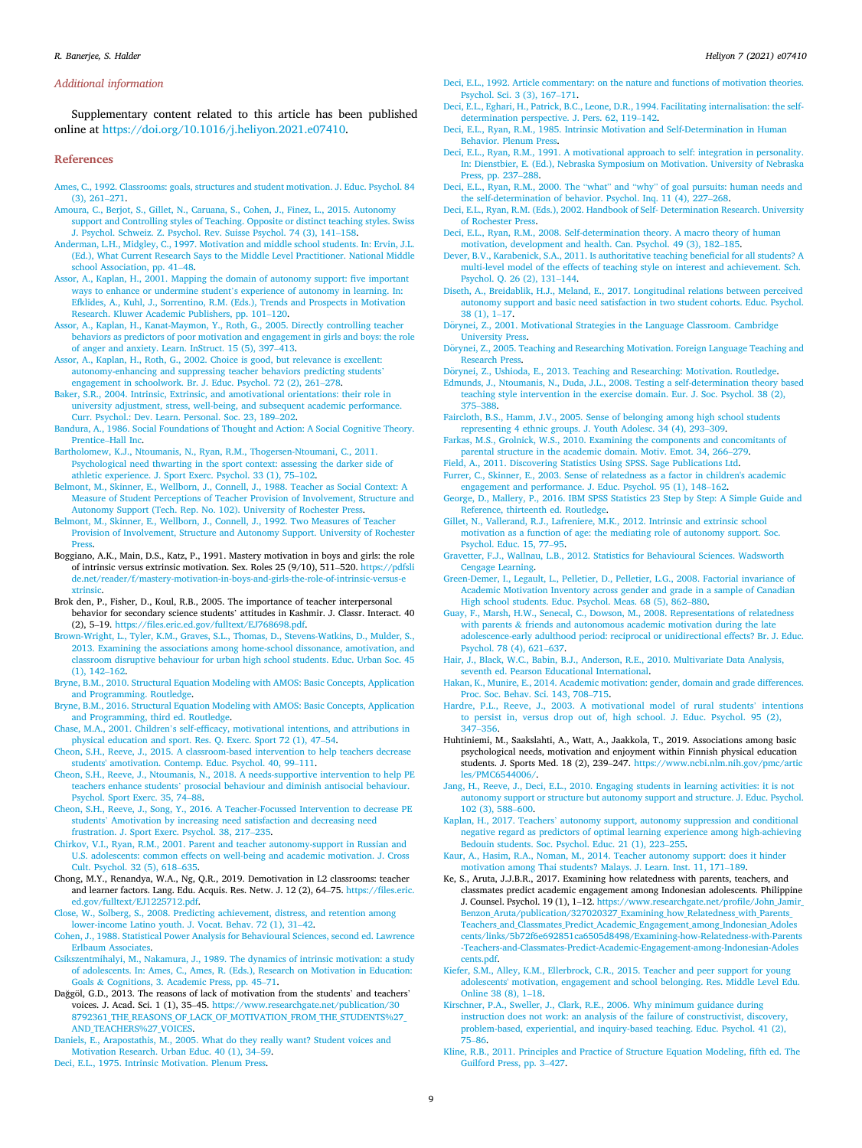#### *Additional information*

Supplementary content related to this article has been published online at https://doi.org/10.1016/j.heliyon.2021.e07410.

#### References

- Ames, C., 1992. Classrooms: goals, structures and student motivation. J. Educ. Psychol. 84 (3), 261–271.
- Amoura, C., Berjot, S., Gillet, N., Caruana, S., Cohen, J., Finez, L., 2015. Autonomy support and Controlling styles of Teaching. Opposite or distinct teaching styles. Swiss J. Psychol. Schweiz. Z. Psychol. Rev. Suisse Psychol. 74 (3), 141–158.
- Anderman, L.H., Midgley, C., 1997. Motivation and middle school students. In: Ervin, J.L. (Ed.), What Current Research Says to the Middle Level Practitioner. National Middle school Association, pp. 41–48.
- Assor, A., Kaplan, H., 2001. Mapping the domain of autonomy support: five important ways to enhance or undermine student's experience of autonomy in learning. In: Efklides, A., Kuhl, J., Sorrentino, R.M. (Eds.), Trends and Prospects in Motivation Research. Kluwer Academic Publishers, pp. 101–120.
- Assor, A., Kaplan, H., Kanat-Maymon, Y., Roth, G., 2005. Directly controlling teacher behaviors as predictors of poor motivation and engagement in girls and boys: the role of anger and anxiety. Learn. InStruct. 15 (5), 397–413.
- Assor, A., Kaplan, H., Roth, G., 2002. Choice is good, but relevance is excellent: autonomy-enhancing and suppressing teacher behaviors predicting students' engagement in schoolwork. Br. J. Educ. Psychol. 72 (2), 261–278.
- Baker, S.R., 2004. Intrinsic, Extrinsic, and amotivational orientations: their role in university adjustment, stress, well-being, and subsequent academic performance. Curr. Psychol.: Dev. Learn. Personal. Soc. 23, 189–202.
- Bandura, A., 1986. Social Foundations of Thought and Action: A Social Cognitive Theory. Prentice–Hall Inc.
- Bartholomew, K.J., Ntoumanis, N., Ryan, R.M., Thogersen-Ntoumani, C., 2011. Psychological need thwarting in the sport context: assessing the darker side of athletic experience. J. Sport Exerc. Psychol. 33 (1), 75–102.
- Belmont, M., Skinner, E., Wellborn, J., Connell, J., 1988. Teacher as Social Context: A Measure of Student Perceptions of Teacher Provision of Involvement, Structure and Autonomy Support (Tech. Rep. No. 102). University of Rochester Press.
- Belmont, M., Skinner, E., Wellborn, J., Connell, J., 1992. Two Measures of Teacher Provision of Involvement, Structure and Autonomy Support. University of Rochester **Press**
- Boggiano, A.K., Main, D.S., Katz, P., 1991. Mastery motivation in boys and girls: the role of intrinsic versus extrinsic motivation. Sex. Roles 25 (9/10), 511–520. https://pdfsli de.net/reader/f/mastery-motivation-in-boys-and-girls-the-role-of-intrinsic-versus-e xtrinsic.
- Brok den, P., Fisher, D., Koul, R.B., 2005. The importance of teacher interpersonal behavior for secondary science students' attitudes in Kashmir. J. Classr. Interact. 40 (2), 5–19. https://files.eric.ed.gov/fulltext/EJ768698.pdf.
- Brown-Wright, L., Tyler, K.M., Graves, S.L., Thomas, D., Stevens-Watkins, D., Mulder, S., 2013. Examining the associations among home-school dissonance, amotivation, and classroom disruptive behaviour for urban high school students. Educ. Urban Soc. 45 (1), 142–162.
- Bryne, B.M., 2010. Structural Equation Modeling with AMOS: Basic Concepts, Application and Programming. Routledge.
- Bryne, B.M., 2016. Structural Equation Modeling with AMOS: Basic Concepts, Application and Programming, third ed. Routledge.
- Chase, M.A., 2001. Children's self-efficacy, motivational intentions, and attributions in physical education and sport. Res. Q. Exerc. Sport 72 (1), 47–54.
- Cheon, S.H., Reeve, J., 2015. A classroom-based intervention to help teachers decrease students' amotivation. Contemp. Educ. Psychol. 40, 99–111.
- Cheon, S.H., Reeve, J., Ntoumanis, N., 2018. A needs-supportive intervention to help PE teachers enhance students' prosocial behaviour and diminish antisocial behaviour. Psychol. Sport Exerc. 35, 74–88.
- Cheon, S.H., Reeve, J., Song, Y., 2016. A Teacher-Focussed Intervention to decrease PE students' Amotivation by increasing need satisfaction and decreasing need frustration. J. Sport Exerc. Psychol. 38, 217–235.
- Chirkov, V.I., Ryan, R.M., 2001. Parent and teacher autonomy-support in Russian and U.S. adolescents: common effects on well-being and academic motivation. J. Cross Cult. Psychol. 32 (5), 618–635.
- Chong, M.Y., Renandya, W.A., Ng, Q.R., 2019. Demotivation in L2 classrooms: teacher and learner factors. Lang. Edu. Acquis. Res. Netw. J. 12 (2), 64–75. https://files.eric. ed.gov/fulltext/EJ1225712.pdf.
- Close, W., Solberg, S., 2008. Predicting achievement, distress, and retention among lower-income Latino youth. J. Vocat. Behav. 72 (1), 31–42.
- Cohen, J., 1988. Statistical Power Analysis for Behavioural Sciences, second ed. Lawrence Erlbaum Associates.
- Csikszentmihalyi, M., Nakamura, J., 1989. The dynamics of intrinsic motivation: a study of adolescents. In: Ames, C., Ames, R. (Eds.), Research on Motivation in Education: Goals & Cognitions, 3. Academic Press, pp. 45–71.
- Dağgöl, G.D., 2013. The reasons of lack of motivation from the students' and teachers' voices. J. Acad. Sci. 1 (1), 35–45. https://www.researchgate.net/publication/30 8792361\_THE\_REASONS\_OF\_LACK\_OF\_MOTIVATION\_FROM\_THE\_STUDENTS%27\_ AND\_TEACHERS%27\_VOICES.
- Daniels, E., Arapostathis, M., 2005. What do they really want? Student voices and Motivation Research. Urban Educ. 40 (1), 34–59.
- Deci, E.L., 1975. Intrinsic Motivation. Plenum Press.
- Deci, E.L., 1992. Article commentary: on the nature and functions of motivation theories. Psychol. Sci. 3 (3), 167–171.
- Deci, E.L., Eghari, H., Patrick, B.C., Leone, D.R., 1994. Facilitating internalisation: the selfdetermination perspective. J. Pers. 62, 119–142.
- Deci, E.L., Ryan, R.M., 1985. Intrinsic Motivation and Self-Determination in Human Behavior. Plenum Press.
- Deci, E.L., Ryan, R.M., 1991. A motivational approach to self: integration in personality. In: Dienstbier, E. (Ed.), Nebraska Symposium on Motivation. University of Nebraska Press, pp. 237–288.
- Deci, E.L., Ryan, R.M., 2000. The "what" and "why" of goal pursuits: human needs and the self-determination of behavior. Psychol. Inq. 11 (4), 227–268.
- Deci, E.L., Ryan, R.M. (Eds.), 2002. Handbook of Self- Determination Research. University of Rochester Pres
- Deci, E.L., Ryan, R.M., 2008. Self-determination theory. A macro theory of human motivation, development and health. Can. Psychol. 49 (3), 182–185.
- Dever, B.V., Karabenick, S.A., 2011. Is authoritative teaching beneficial for all students? A multi-level model of the effects of teaching style on interest and achievement. Sch. Psychol. Q. 26 (2), 131–144.
- Diseth, A., Breidablik, H.J., Meland, E., 2017. Longitudinal relations between perceived autonomy support and basic need satisfaction in two student cohorts. Educ. Psychol. 38 (1), 1–17.
- Dörynei, Z., 2001. Motivational Strategies in the Language Classroom. Cambridge University Press.
- Dörynei, Z., 2005. Teaching and Researching Motivation. Foreign Language Teaching and Research Press.
- Dörynei, Z., Ushioda, E., 2013. Teaching and Researching: Motivation. Routledge.<br>Edmunds, J., Ntoumanis, N., Duda, J.L., 2008. Testing a self-determination theory based
- teaching style intervention in the exercise domain. Eur. J. Soc. Psychol. 38 (2), 375–388.
- Faircloth, B.S., Hamm, J.V., 2005. Sense of belonging among high school students representing 4 ethnic groups. J. Youth Adolesc. 34 (4), 293–309.
- Farkas, M.S., Grolnick, W.S., 2010. Examining the components and concomitants of parental structure in the academic domain. Motiv. Emot. 34, 266–279.
- Field, A., 2011. Discovering Statistics Using SPSS. Sage Publications Ltd. Furrer, C., Skinner, E., 2003. Sense of relatedness as a factor in children's academic
- engagement and performance. J. Educ. Psychol. 95 (1), 148–162.
- George, D., Mallery, P., 2016. IBM SPSS Statistics 23 Step by Step: A Simple Guide and Reference, thirteenth ed. Routledge.
- Gillet, N., Vallerand, R.J., Lafreniere, M.K., 2012. Intrinsic and extrinsic school motivation as a function of age: the mediating role of autonomy support. Soc. Psychol. Educ. 15, 77–95.
- Gravetter, F.J., Wallnau, L.B., 2012. Statistics for Behavioural Sciences. Wadsworth Cengage Learning.
- Green-Demer, I., Legault, L., Pelletier, D., Pelletier, L.G., 2008. Factorial invariance of Academic Motivation Inventory across gender and grade in a sample of Canadian High school students. Educ. Psychol. Meas. 68 (5), 862–880.
- Guay, F., Marsh, H.W., Senecal, C., Dowson, M., 2008. Representations of relatedness with parents & friends and autonomous academic motivation during the late adolescence-early adulthood period: reciprocal or unidirectional effects? Br. J. Educ. Psychol. 78 (4), 621–637.
- Hair, J., Black, W.C., Babin, B.J., Anderson, R.E., 2010. Multivariate Data Analysis, seventh ed. Pearson Educational International.
- Hakan, K., Munire, E., 2014. Academic motivation: gender, domain and grade differences. Proc. Soc. Behav. Sci. 143, 708–715.
- Hardre, P.L., Reeve, J., 2003. A motivational model of rural students' intentions to persist in, versus drop out of, high school. J. Educ. Psychol. 95 (2), 347–356.
- Huhtiniemi, M., Saakslahti, A., Watt, A., Jaakkola, T., 2019. Associations among basic psychological needs, motivation and enjoyment within Finnish physical education students. J. Sports Med. 18 (2), 239–247. https://www.ncbi.nlm.nih.gov/pmc/artic les/PMC6544006/.
- Jang, H., Reeve, J., Deci, E.L., 2010. Engaging students in learning activities: it is not autonomy support or structure but autonomy support and structure. J. Educ. Psychol. 102 (3), 588–600.
- Kaplan, H., 2017. Teachers' autonomy support, autonomy suppression and conditional negative regard as predictors of optimal learning experience among high-achieving Bedouin students. Soc. Psychol. Educ. 21 (1), 223–255.
- Kaur, A., Hasim, R.A., Noman, M., 2014. Teacher autonomy support: does it hinder motivation among Thai students? Malays. J. Learn. Inst. 11, 171–189.
- Ke, S., Aruta, J.J.B.R., 2017. Examining how relatedness with parents, teachers, and classmates predict academic engagement among Indonesian adolescents. Philippine J. Counsel. Psychol. 19 (1), 1–12. https://www.researchgate.net/profile/John\_Jamir\_ Benzon\_Aruta/publication/327020327\_Examining\_how\_Relatedness\_with\_Parents\_ Teachers\_and\_Classmates\_Predict\_Academic\_Engagement\_among\_Indonesian\_Adoles cents/links/5b72f6e692851ca6505d8498/Examining-how-Relatedness-with-Parents -Teachers-and-Classmates-Predict-Academic-Engagement-among-Indonesian-Adoles cents.pdf.
- Kiefer, S.M., Alley, K.M., Ellerbrock, C.R., 2015. Teacher and peer support for young adolescents' motivation, engagement and school belonging. Res. Middle Level Edu. Online 38 (8), 1–18.
- Kirschner, P.A., Sweller, J., Clark, R.E., 2006. Why minimum guidance during instruction does not work: an analysis of the failure of constructivist, discovery, problem-based, experiential, and inquiry-based teaching. Educ. Psychol. 41 (2), 75–86.
- Kline, R.B., 2011. Principles and Practice of Structure Equation Modeling, fifth ed. The Guilford Press, pp. 3–427.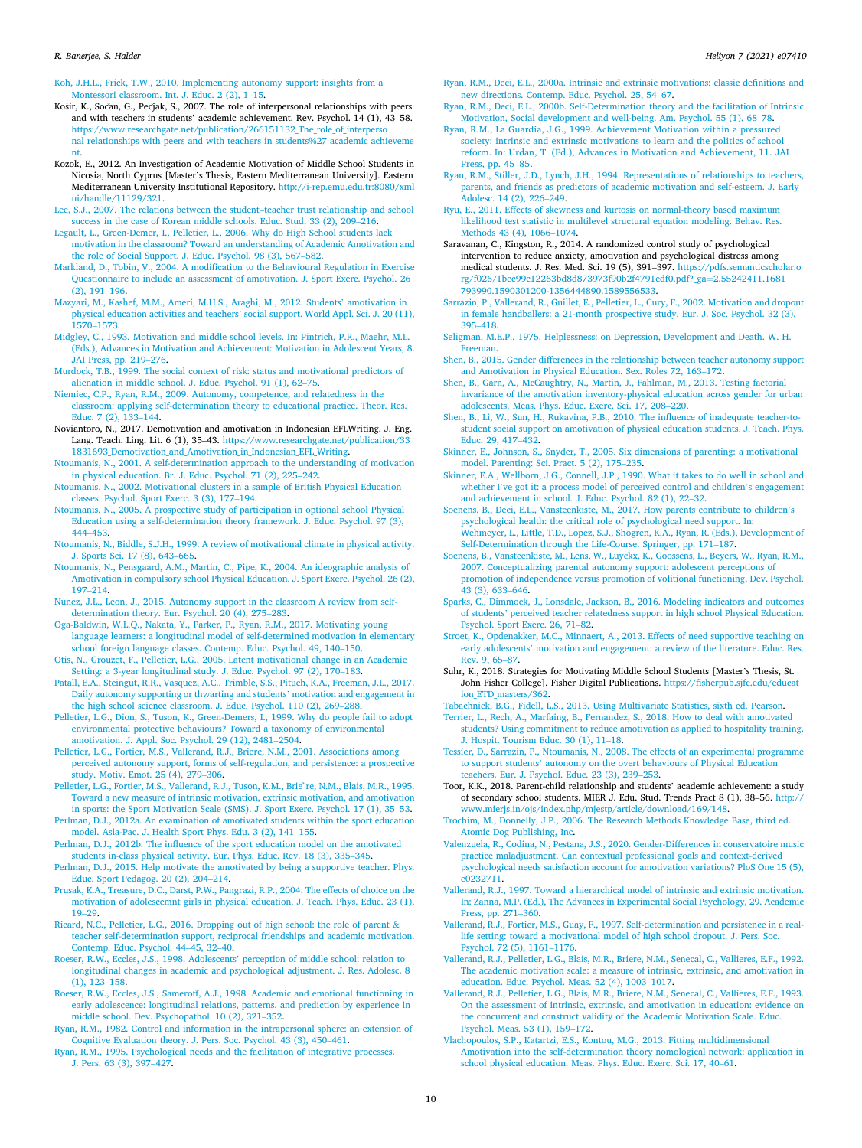Koh, J.H.L., Frick, T.W., 2010. Implementing autonomy support: insights from a Montessori classroom. Int. J. Educ. 2 (2), 1–15.

- Košir, K., Socan, G., Pecjak, S., 2007. The role of interpersonal relationships with peers and with teachers in students' academic achievement. Rev. Psychol. 14 (1), 43–58. https://www.researchgate.net/publication/266151132\_The\_role\_of\_interperso nal\_relationships\_with\_peers\_and\_with\_teachers\_in\_students%27\_academic\_achieveme
- nt. Kozok, E., 2012. An Investigation of Academic Motivation of Middle School Students in Nicosia, North Cyprus [Master's Thesis, Eastern Mediterranean University]. Eastern Mediterranean University Institutional Repository. http://i-rep.emu.edu.tr:8080/xml ui/handle/11129/321.
- Lee, S.J., 2007. The relations between the student–teacher trust relationship and school success in the case of Korean middle schools. Educ. Stud. 33 (2), 209–216.
- Legault, L., Green-Demer, I., Pelletier, L., 2006. Why do High School students lack motivation in the classroom? Toward an understanding of Academic Amotivation and the role of Social Support. J. Educ. Psychol. 98 (3), 567–582.
- Markland, D., Tobin, V., 2004. A modification to the Behavioural Regulation in Exercise Questionnaire to include an assessment of amotivation. J. Sport Exerc. Psychol. 26 (2), 191–196.
- Mazyari, M., Kashef, M.M., Ameri, M.H.S., Araghi, M., 2012. Students' amotivation in physical education activities and teachers' social support. World Appl. Sci. J. 20 (11), 1570–1573.
- Midgley, C., 1993. Motivation and middle school levels. In: Pintrich, P.R., Maehr, M.L. (Eds.), Advances in Motivation and Achievement: Motivation in Adolescent Years, 8. JAI Press, pp. 219–276.
- Murdock, T.B., 1999. The social context of risk: status and motivational predictors of alienation in middle school. J. Educ. Psychol. 91 (1), 62–75.
- Niemiec, C.P., Ryan, R.M., 2009. Autonomy, competence, and relatedness in the classroom: applying self-determination theory to educational practice. Theor. Res. Educ. 7 (2), 133–144.
- Noviantoro, N., 2017. Demotivation and amotivation in Indonesian EFLWriting. J. Eng. Lang. Teach. Ling. Lit. 6 (1), 35-43. https://www.researchgate.net/publication/33 1831693 Demotivation and Amotivation in Indonesian EFL Writing.
- Ntoumanis, N., 2001. A self-determination approach to the understanding of motivation in physical education. Br. J. Educ. Psychol. 71 (2), 225–242.
- Ntoumanis, N., 2002. Motivational clusters in a sample of British Physical Education classes. Psychol. Sport Exerc. 3 (3), 177–194.
- Ntoumanis, N., 2005. A prospective study of participation in optional school Physical Education using a self-determination theory framework. J. Educ. Psychol. 97 (3), 444–453.
- Ntoumanis, N., Biddle, S.J.H., 1999. A review of motivational climate in physical activity. J. Sports Sci. 17 (8), 643–665.
- Ntoumanis, N., Pensgaard, A.M., Martin, C., Pipe, K., 2004. An ideographic analysis of Amotivation in compulsory school Physical Education. J. Sport Exerc. Psychol. 26 (2), 197–214.
- Nunez, J.L., Leon, J., 2015. Autonomy support in the classroom A review from selfdetermination theory. Eur. Psychol. 20 (4), 275–283.
- Oga-Baldwin, W.L.Q., Nakata, Y., Parker, P., Ryan, R.M., 2017. Motivating young language learners: a longitudinal model of self-determined motivation in elementary school foreign language classes. Contemp. Educ. Psychol. 49, 140–150.
- Otis, N., Grouzet, F., Pelletier, L.G., 2005. Latent motivational change in an Academic Setting: a 3-year longitudinal study. J. Educ. Psychol. 97 (2), 170–183.
- Patall, E.A., Steingut, R.R., Vasquez, A.C., Trimble, S.S., Pituch, K.A., Freeman, J.L., 2017. Daily autonomy supporting or thwarting and students' motivation and engagement in the high school science classroom. J. Educ. Psychol. 110 (2), 269–288.
- Pelletier, L.G., Dion, S., Tuson, K., Green-Demers, I., 1999. Why do people fail to adopt environmental protective behaviours? Toward a taxonomy of environmental amotivation. J. Appl. Soc. Psychol. 29 (12), 2481–2504.
- Pelletier, L.G., Fortier, M.S., Vallerand, R.J., Briere, N.M., 2001. Associations among perceived autonomy support, forms of self-regulation, and persistence: a prospective study. Motiv. Emot. 25 (4), 279–306.
- Pelletier, L.G., Fortier, M.S., Vallerand, R.J., Tuson, K.M., Brie`re, N.M., Blais, M.R., 1995. Toward a new measure of intrinsic motivation, extrinsic motivation, and amotivation in sports: the Sport Motivation Scale (SMS). J. Sport Exerc. Psychol. 17 (1), 35–53.
- Perlman, D.J., 2012a. An examination of amotivated students within the sport education model. Asia-Pac. J. Health Sport Phys. Edu. 3 (2), 141–155.
- Perlman, D.J., 2012b. The influence of the sport education model on the amotivated students in-class physical activity. Eur. Phys. Educ. Rev. 18 (3), 335–345.
- Perlman, D.J., 2015. Help motivate the amotivated by being a supportive teacher. Phys. Educ. Sport Pedagog. 20 (2), 204–214.
- Prusak, K.A., Treasure, D.C., Darst, P.W., Pangrazi, R.P., 2004. The effects of choice on the motivation of adolescemnt girls in physical education. J. Teach. Phys. Educ. 23 (1), 19–29.
- Ricard, N.C., Pelletier, L.G., 2016. Dropping out of high school: the role of parent & teacher self-determination support, reciprocal friendships and academic motivation. Contemp. Educ. Psychol. 44–45, 32–40.
- Roeser, R.W., Eccles, J.S., 1998. Adolescents' perception of middle school: relation to longitudinal changes in academic and psychological adjustment. J. Res. Adolesc. 8 (1), 123–158.
- Roeser, R.W., Eccles, J.S., Sameroff, A.J., 1998. Academic and emotional functioning in early adolescence: longitudinal relations, patterns, and prediction by experience in middle school. Dev. Psychopathol. 10 (2), 321–352.
- Ryan, R.M., 1982. Control and information in the intrapersonal sphere: an extension of Cognitive Evaluation theory. J. Pers. Soc. Psychol. 43 (3), 450–461.
- Ryan, R.M., 1995. Psychological needs and the facilitation of integrative processes. J. Pers. 63 (3), 397–427.
- Ryan, R.M., Deci, E.L., 2000a. Intrinsic and extrinsic motivations: classic definitions and new directions. Contemp. Educ. Psychol. 25, 54–67.
- Ryan, R.M., Deci, E.L., 2000b. Self-Determination theory and the facilitation of Intrinsic Motivation, Social development and well-being. Am. Psychol. 55 (1), 68–78.
- Ryan, R.M., La Guardia, J.G., 1999. Achievement Motivation within a pressured society: intrinsic and extrinsic motivations to learn and the politics of school reform. In: Urdan, T. (Ed.), Advances in Motivation and Achievement, 11. JAI Press, pp. 45–85.
- Ryan, R.M., Stiller, J.D., Lynch, J.H., 1994. Representations of relationships to teachers, parents, and friends as predictors of academic motivation and self-esteem. J. Early Adolesc. 14 (2), 226–249.
- Ryu, E., 2011. Effects of skewness and kurtosis on normal-theory based maximum likelihood test statistic in multilevel structural equation modeling. Behav. Res. Methods 43 (4), 1066–1074.
- Saravanan, C., Kingston, R., 2014. A randomized control study of psychological intervention to reduce anxiety, amotivation and psychological distress among medical students. J. Res. Med. Sci. 19 (5), 391–397. https://pdfs.semanticscholar.o rg/f026/1bec99c12263bd8d873973f90b2f4791edf0.pdf?\_ga=2.55242411.1681 793990.1590301200-1356444890.1589556533.
- Sarrazin, P., Vallerand, R., Guillet, E., Pelletier, L., Cury, F., 2002. Motivation and dropout in female handballers: a 21-month prospective study. Eur. J. Soc. Psychol. 32 (3), 395–418.
- Seligman, M.E.P., 1975. Helplessness: on Depression, Development and Death. W. H. **Freeman**
- Shen, B., 2015. Gender differences in the relationship between teacher autonomy support and Amotivation in Physical Education. Sex. Roles 72, 163–172.
- Shen, B., Garn, A., McCaughtry, N., Martin, J., Fahlman, M., 2013. Testing factorial invariance of the amotivation inventory-physical education across gender for urban adolescents. Meas. Phys. Educ. Exerc. Sci. 17, 208–220.
- Shen, B., Li, W., Sun, H., Rukavina, P.B., 2010. The influence of inadequate teacher-tostudent social support on amotivation of physical education students. J. Teach. Phys. Educ. 29, 417–432.
- Skinner, E., Johnson, S., Snyder, T., 2005. Six dimensions of parenting: a motivational model. Parenting: Sci. Pract. 5 (2), 175–235.
- Skinner, E.A., Wellborn, J.G., Connell, J.P., 1990. What it takes to do well in school and whether I've got it: a process model of perceived control and children's engagement and achievement in school. J. Educ. Psychol. 82 (1), 22–32.
- Soenens, B., Deci, E.L., Vansteenkiste, M., 2017. How parents contribute to children's psychological health: the critical role of psychological need support. In: Wehmeyer, L., Little, T.D., Lopez, S.J., Shogren, K.A., Ryan, R. (Eds.), Development of Self-Determination through the Life-Course. Springer, pp. 171–187.
- Soenens, B., Vansteenkiste, M., Lens, W., Luyckx, K., Goossens, L., Beyers, W., Ryan, R.M., 2007. Conceptualizing parental autonomy support: adolescent perceptions of promotion of independence versus promotion of volitional functioning. Dev. Psychol. 43 (3), 633–646.
- Sparks, C., Dimmock, J., Lonsdale, Jackson, B., 2016. Modeling indicators and outcomes of students' perceived teacher relatedness support in high school Physical Education. Psychol. Sport Exerc. 26, 71–82.
- Stroet, K., Opdenakker, M.C., Minnaert, A., 2013. Effects of need supportive teaching on early adolescents' motivation and engagement: a review of the literature. Educ. Res. Rev. 9, 65–87.
- Suhr, K., 2018. Strategies for Motivating Middle School Students [Master's Thesis, St. John Fisher College]. Fisher Digital Publications. https://fisherpub.sjfc.edu/educat ion\_ETD\_masters/362.

Tabachnick, B.G., Fidell, L.S., 2013. Using Multivariate Statistics, sixth ed. Pearson.

- Terrier, L., Rech, A., Marfaing, B., Fernandez, S., 2018. How to deal with amotivated students? Using commitment to reduce amotivation as applied to hospitality training. J. Hospit. Tourism Educ. 30 (1), 11–18.
- Tessier, D., Sarrazin, P., Ntoumanis, N., 2008. The effects of an experimental programme to support students' autonomy on the overt behaviours of Physical Education teachers. Eur. J. Psychol. Educ. 23 (3), 239–253.
- Toor, K.K., 2018. Parent-child relationship and students' academic achievement: a study of secondary school students. MIER J. Edu. Stud. Trends Pract 8 (1), 38–56. http:// www.mierjs.in/ojs/index.php/mjestp/article/download/169/148.
- Trochim, M., Donnelly, J.P., 2006. The Research Methods Knowledge Base, third ed. Atomic Dog Publishing, Inc.
- Valenzuela, R., Codina, N., Pestana, J.S., 2020. Gender-Differences in conservatoire music practice maladjustment. Can contextual professional goals and context-derived psychological needs satisfaction account for amotivation variations? PloS One 15 (5), e0232711.
- Vallerand, R.J., 1997. Toward a hierarchical model of intrinsic and extrinsic motivation. In: Zanna, M.P. (Ed.), The Advances in Experimental Social Psychology, 29. Academic Press, pp. 271–360.
- Vallerand, R.J., Fortier, M.S., Guay, F., 1997. Self-determination and persistence in a reallife setting: toward a motivational model of high school dropout. J. Pers. Soc. Psychol. 72 (5), 1161–1176.
- Vallerand, R.J., Pelletier, L.G., Blais, M.R., Briere, N.M., Senecal, C., Vallieres, E.F., 1992. The academic motivation scale: a measure of intrinsic, extrinsic, and amotivation in education. Educ. Psychol. Meas. 52 (4), 1003–1017.
- Vallerand, R.J., Pelletier, L.G., Blais, M.R., Briere, N.M., Senecal, C., Vallieres, E.F., 1993. On the assessment of intrinsic, extrinsic, and amotivation in education: evidence on the concurrent and construct validity of the Academic Motivation Scale. Educ. Psychol. Meas. 53 (1), 159–172.
- Vlachopoulos, S.P., Katartzi, E.S., Kontou, M.G., 2013. Fitting multidimensional Amotivation into the self-determination theory nomological network: application in school physical education. Meas. Phys. Educ. Exerc. Sci. 17, 40–61.